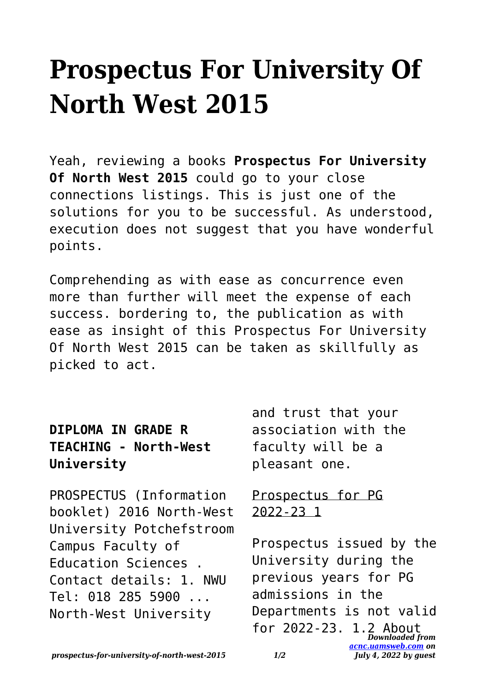## **Prospectus For University Of North West 2015**

Yeah, reviewing a books **Prospectus For University Of North West 2015** could go to your close connections listings. This is just one of the solutions for you to be successful. As understood, execution does not suggest that you have wonderful points.

Comprehending as with ease as concurrence even more than further will meet the expense of each success. bordering to, the publication as with ease as insight of this Prospectus For University Of North West 2015 can be taken as skillfully as picked to act.

| <b>DIPLOMA IN GRADE R</b> |                              |
|---------------------------|------------------------------|
|                           | <b>TEACHING - North-West</b> |
| University                |                              |

PROSPECTUS (Information booklet) 2016 North-West University Potchefstroom Campus Faculty of Education Sciences . Contact details: 1. NWU Tel: 018 285 5900 ... North-West University

and trust that your association with the faculty will be a pleasant one.

## Prospectus for PG 2022-23 1

*Downloaded from [acnc.uamsweb.com](http://acnc.uamsweb.com) on July 4, 2022 by guest* Prospectus issued by the University during the previous years for PG admissions in the Departments is not valid for 2022-23. 1.2 About